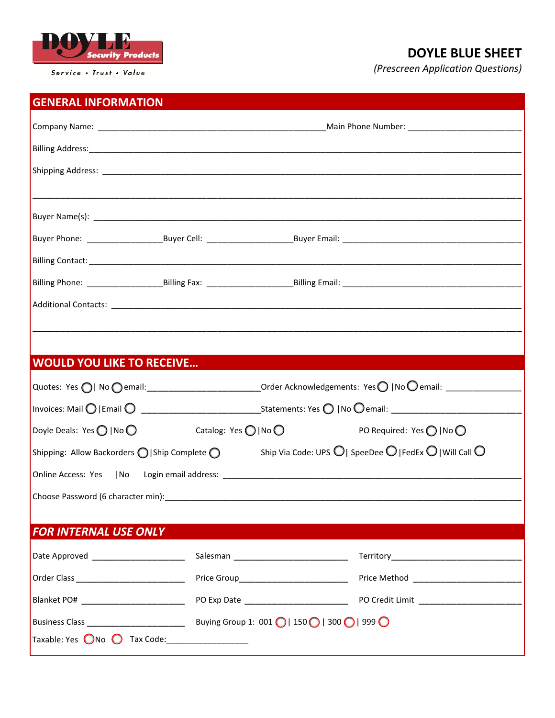

Service . Trust . Value

## **DOYLE BLUE SHEET**

*(Prescreen Application Questions)*

## **GENERAL INFORMATION**

| Billing Address: No. 2014 19:30: 20:30:20:30:20:30:20:30:20:30:20:30:20:30:20:30:20:30:20:30:20:20:20:20:20:20                                                   |                                            |                           |
|------------------------------------------------------------------------------------------------------------------------------------------------------------------|--------------------------------------------|---------------------------|
|                                                                                                                                                                  |                                            |                           |
|                                                                                                                                                                  |                                            |                           |
|                                                                                                                                                                  |                                            |                           |
|                                                                                                                                                                  |                                            |                           |
|                                                                                                                                                                  |                                            |                           |
|                                                                                                                                                                  |                                            |                           |
|                                                                                                                                                                  |                                            |                           |
|                                                                                                                                                                  |                                            |                           |
|                                                                                                                                                                  |                                            |                           |
| <b>WOULD YOU LIKE TO RECEIVE</b>                                                                                                                                 |                                            |                           |
|                                                                                                                                                                  |                                            |                           |
|                                                                                                                                                                  |                                            |                           |
| Doyle Deals: Yes $\bigcirc$   No $\bigcirc$                                                                                                                      | Catalog: Yes $\bigcirc$   No $\bigcirc$    | PO Required: Yes ◯   No ◯ |
| Ship Via Code: UPS $\bigcirc$   SpeeDee $\bigcirc$   FedEx $\bigcirc$   Will Call $\bigcirc$<br>Shipping: Allow Backorders $\bigcirc$   Ship Complete $\bigcirc$ |                                            |                           |
|                                                                                                                                                                  |                                            |                           |
|                                                                                                                                                                  |                                            |                           |
|                                                                                                                                                                  |                                            |                           |
| <b>FOR INTERNAL USE ONLY</b>                                                                                                                                     |                                            |                           |
|                                                                                                                                                                  |                                            |                           |
|                                                                                                                                                                  | Price Group_______________________________ |                           |
| Blanket PO# ______________________________                                                                                                                       |                                            |                           |
|                                                                                                                                                                  |                                            |                           |
| Taxable: Yes $\bigcirc$ No $\bigcirc$ Tax Code:                                                                                                                  |                                            |                           |